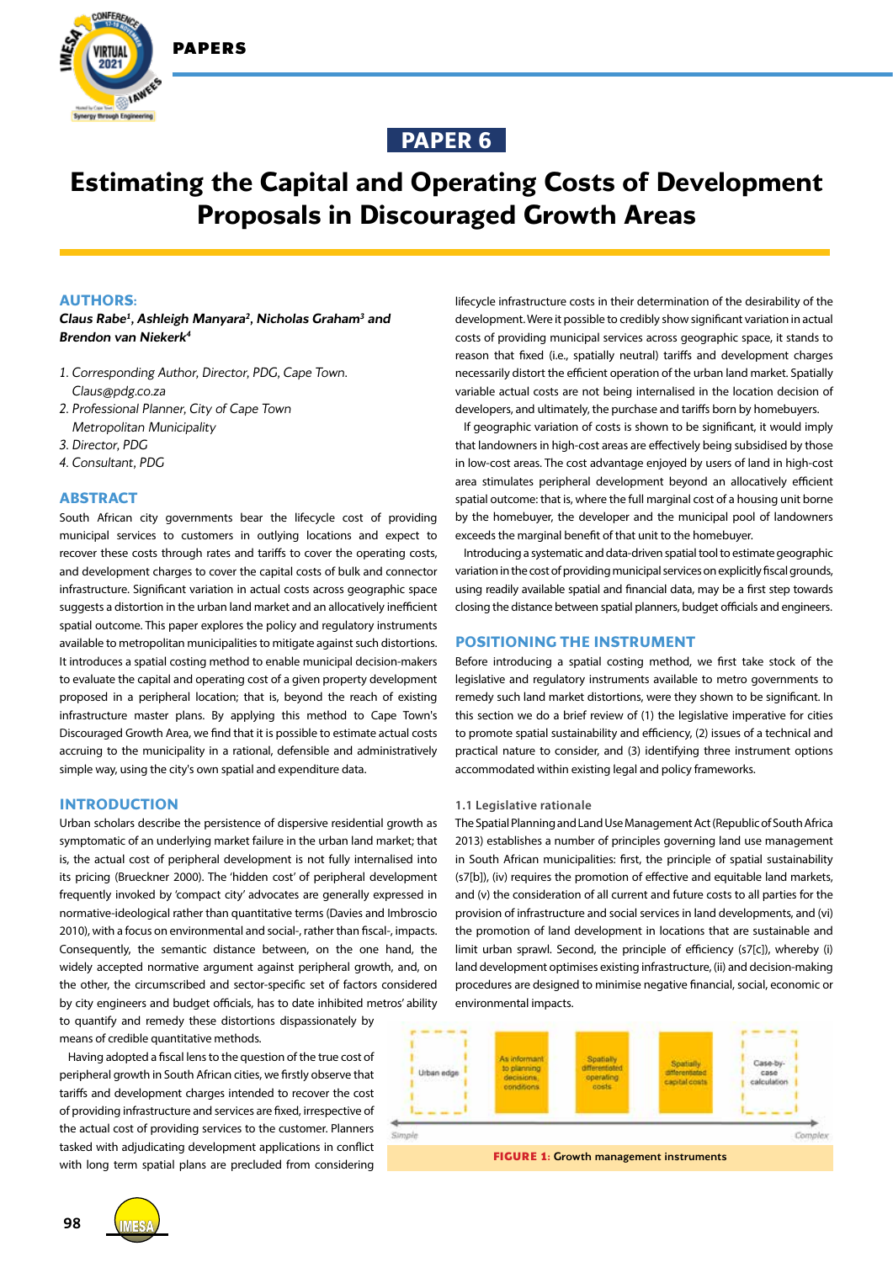



# **Estimating the Capital and Operating Costs of Development Proposals in Discouraged Growth Areas**

## **AUTHORS:**

*Claus Rabe1 , Ashleigh Manyara2 , Nicholas Graham3 and Brendon van Niekerk4*

- *1. Corresponding Author, Director, PDG, Cape Town. Claus@pdg.co.za*
- *2. Professional Planner, City of Cape Town Metropolitan Municipality*
- *3. Director, PDG*
- *4. Consultant, PDG*

## **ABSTRACT**

South African city governments bear the lifecycle cost of providing municipal services to customers in outlying locations and expect to recover these costs through rates and tariffs to cover the operating costs, and development charges to cover the capital costs of bulk and connector infrastructure. Significant variation in actual costs across geographic space suggests a distortion in the urban land market and an allocatively inefficient spatial outcome. This paper explores the policy and regulatory instruments available to metropolitan municipalities to mitigate against such distortions. It introduces a spatial costing method to enable municipal decision-makers to evaluate the capital and operating cost of a given property development proposed in a peripheral location; that is, beyond the reach of existing infrastructure master plans. By applying this method to Cape Town's Discouraged Growth Area, we find that it is possible to estimate actual costs accruing to the municipality in a rational, defensible and administratively simple way, using the city's own spatial and expenditure data.

## **INTRODUCTION**

Urban scholars describe the persistence of dispersive residential growth as symptomatic of an underlying market failure in the urban land market; that is, the actual cost of peripheral development is not fully internalised into its pricing (Brueckner 2000). The 'hidden cost' of peripheral development frequently invoked by 'compact city' advocates are generally expressed in normative-ideological rather than quantitative terms (Davies and Imbroscio 2010), with a focus on environmental and social-, rather than fiscal-, impacts. Consequently, the semantic distance between, on the one hand, the widely accepted normative argument against peripheral growth, and, on the other, the circumscribed and sector-specific set of factors considered by city engineers and budget officials, has to date inhibited metros' ability to quantify and remedy these distortions dispassionately by means of credible quantitative methods.

Having adopted a fiscal lens to the question of the true cost of peripheral growth in South African cities, we firstly observe that tariffs and development charges intended to recover the cost of providing infrastructure and services are fixed, irrespective of the actual cost of providing services to the customer. Planners tasked with adjudicating development applications in conflict with long term spatial plans are precluded from considering

lifecycle infrastructure costs in their determination of the desirability of the development. Were it possible to credibly show significant variation in actual costs of providing municipal services across geographic space, it stands to reason that fixed (i.e., spatially neutral) tariffs and development charges necessarily distort the efficient operation of the urban land market. Spatially variable actual costs are not being internalised in the location decision of developers, and ultimately, the purchase and tariffs born by homebuyers.

If geographic variation of costs is shown to be significant, it would imply that landowners in high-cost areas are effectively being subsidised by those in low-cost areas. The cost advantage enjoyed by users of land in high-cost area stimulates peripheral development beyond an allocatively efficient spatial outcome: that is, where the full marginal cost of a housing unit borne by the homebuyer, the developer and the municipal pool of landowners exceeds the marginal benefit of that unit to the homebuyer.

Introducing a systematic and data-driven spatial tool to estimate geographic variation in the cost of providing municipal services on explicitly fiscal grounds, using readily available spatial and financial data, may be a first step towards closing the distance between spatial planners, budget officials and engineers.

#### **POSITIONING THE INSTRUMENT**

Before introducing a spatial costing method, we first take stock of the legislative and regulatory instruments available to metro governments to remedy such land market distortions, were they shown to be significant. In this section we do a brief review of (1) the legislative imperative for cities to promote spatial sustainability and efficiency, (2) issues of a technical and practical nature to consider, and (3) identifying three instrument options accommodated within existing legal and policy frameworks.

#### **1.1 Legislative rationale**

The Spatial Planning and Land Use Management Act (Republic of South Africa 2013) establishes a number of principles governing land use management in South African municipalities: first, the principle of spatial sustainability (s7[b]), (iv) requires the promotion of effective and equitable land markets, and (v) the consideration of all current and future costs to all parties for the provision of infrastructure and social services in land developments, and (vi) the promotion of land development in locations that are sustainable and limit urban sprawl. Second, the principle of efficiency (s7[c]), whereby (i) land development optimises existing infrastructure, (ii) and decision-making procedures are designed to minimise negative financial, social, economic or environmental impacts.

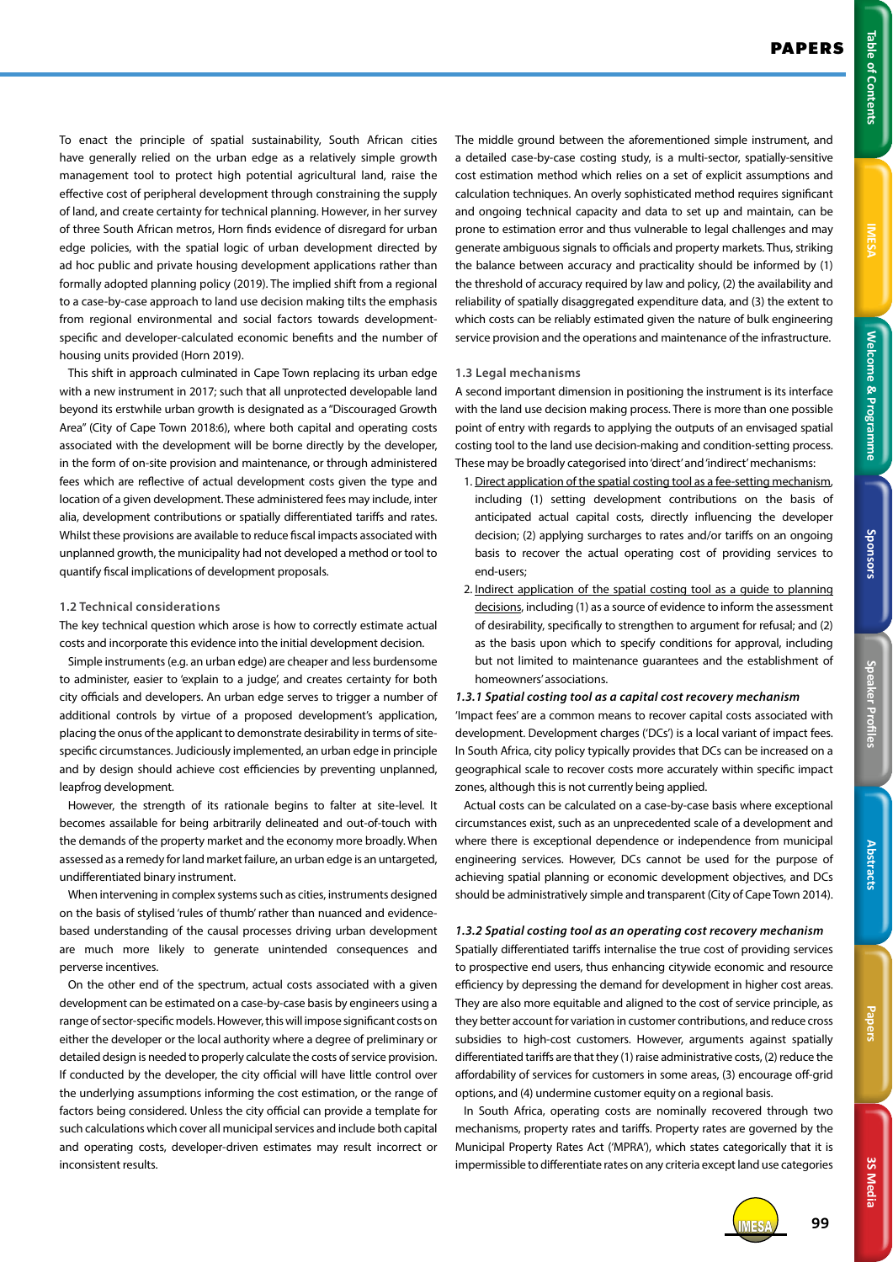**IMESA** 

3S Media **3S Media**

To enact the principle of spatial sustainability, South African cities have generally relied on the urban edge as a relatively simple growth management tool to protect high potential agricultural land, raise the effective cost of peripheral development through constraining the supply of land, and create certainty for technical planning. However, in her survey of three South African metros, Horn finds evidence of disregard for urban edge policies, with the spatial logic of urban development directed by ad hoc public and private housing development applications rather than formally adopted planning policy (2019). The implied shift from a regional to a case-by-case approach to land use decision making tilts the emphasis from regional environmental and social factors towards developmentspecific and developer-calculated economic benefits and the number of housing units provided (Horn 2019).

This shift in approach culminated in Cape Town replacing its urban edge with a new instrument in 2017; such that all unprotected developable land beyond its erstwhile urban growth is designated as a "Discouraged Growth Area" (City of Cape Town 2018:6), where both capital and operating costs associated with the development will be borne directly by the developer, in the form of on-site provision and maintenance, or through administered fees which are reflective of actual development costs given the type and location of a given development. These administered fees may include, inter alia, development contributions or spatially differentiated tariffs and rates. Whilst these provisions are available to reduce fiscal impacts associated with unplanned growth, the municipality had not developed a method or tool to quantify fiscal implications of development proposals.

## **1.2 Technical considerations**

The key technical question which arose is how to correctly estimate actual costs and incorporate this evidence into the initial development decision.

Simple instruments (e.g. an urban edge) are cheaper and less burdensome to administer, easier to 'explain to a judge', and creates certainty for both city officials and developers. An urban edge serves to trigger a number of additional controls by virtue of a proposed development's application, placing the onus of the applicant to demonstrate desirability in terms of sitespecific circumstances. Judiciously implemented, an urban edge in principle and by design should achieve cost efficiencies by preventing unplanned, leapfrog development.

However, the strength of its rationale begins to falter at site-level. It becomes assailable for being arbitrarily delineated and out-of-touch with the demands of the property market and the economy more broadly. When assessed as a remedy for land market failure, an urban edge is an untargeted, undifferentiated binary instrument.

When intervening in complex systems such as cities, instruments designed on the basis of stylised 'rules of thumb' rather than nuanced and evidencebased understanding of the causal processes driving urban development are much more likely to generate unintended consequences and perverse incentives.

On the other end of the spectrum, actual costs associated with a given development can be estimated on a case-by-case basis by engineers using a range of sector-specific models. However, this will impose significant costs on either the developer or the local authority where a degree of preliminary or detailed design is needed to properly calculate the costs of service provision. If conducted by the developer, the city official will have little control over the underlying assumptions informing the cost estimation, or the range of factors being considered. Unless the city official can provide a template for such calculations which cover all municipal services and include both capital and operating costs, developer-driven estimates may result incorrect or inconsistent results.

The middle ground between the aforementioned simple instrument, and a detailed case-by-case costing study, is a multi-sector, spatially-sensitive cost estimation method which relies on a set of explicit assumptions and calculation techniques. An overly sophisticated method requires significant and ongoing technical capacity and data to set up and maintain, can be prone to estimation error and thus vulnerable to legal challenges and may generate ambiguous signals to officials and property markets. Thus, striking the balance between accuracy and practicality should be informed by (1) the threshold of accuracy required by law and policy, (2) the availability and reliability of spatially disaggregated expenditure data, and (3) the extent to which costs can be reliably estimated given the nature of bulk engineering service provision and the operations and maintenance of the infrastructure.

#### **1.3 Legal mechanisms**

A second important dimension in positioning the instrument is its interface with the land use decision making process. There is more than one possible point of entry with regards to applying the outputs of an envisaged spatial costing tool to the land use decision-making and condition-setting process. These may be broadly categorised into 'direct' and 'indirect' mechanisms:

- 1. Direct application of the spatial costing tool as a fee-setting mechanism, including (1) setting development contributions on the basis of anticipated actual capital costs, directly influencing the developer decision; (2) applying surcharges to rates and/or tariffs on an ongoing basis to recover the actual operating cost of providing services to end-users;
- 2. Indirect application of the spatial costing tool as a guide to planning decisions, including (1) as a source of evidence to inform the assessment of desirability, specifically to strengthen to argument for refusal; and (2) as the basis upon which to specify conditions for approval, including but not limited to maintenance guarantees and the establishment of homeowners' associations.

#### *1.3.1 Spatial costing tool as a capital cost recovery mechanism*

'Impact fees' are a common means to recover capital costs associated with development. Development charges ('DCs') is a local variant of impact fees. In South Africa, city policy typically provides that DCs can be increased on a geographical scale to recover costs more accurately within specific impact zones, although this is not currently being applied.

Actual costs can be calculated on a case-by-case basis where exceptional circumstances exist, such as an unprecedented scale of a development and where there is exceptional dependence or independence from municipal engineering services. However, DCs cannot be used for the purpose of achieving spatial planning or economic development objectives, and DCs should be administratively simple and transparent (City of Cape Town 2014).

# *1.3.2 Spatial costing tool as an operating cost recovery mechanism* Spatially differentiated tariffs internalise the true cost of providing services to prospective end users, thus enhancing citywide economic and resource efficiency by depressing the demand for development in higher cost areas. They are also more equitable and aligned to the cost of service principle, as they better account for variation in customer contributions, and reduce cross subsidies to high-cost customers. However, arguments against spatially differentiated tariffs are that they (1) raise administrative costs, (2) reduce the affordability of services for customers in some areas, (3) encourage off-grid options, and (4) undermine customer equity on a regional basis.

In South Africa, operating costs are nominally recovered through two mechanisms, property rates and tariffs. Property rates are governed by the Municipal Property Rates Act ('MPRA'), which states categorically that it is impermissible to differentiate rates on any criteria except land use categories



IMESA **99**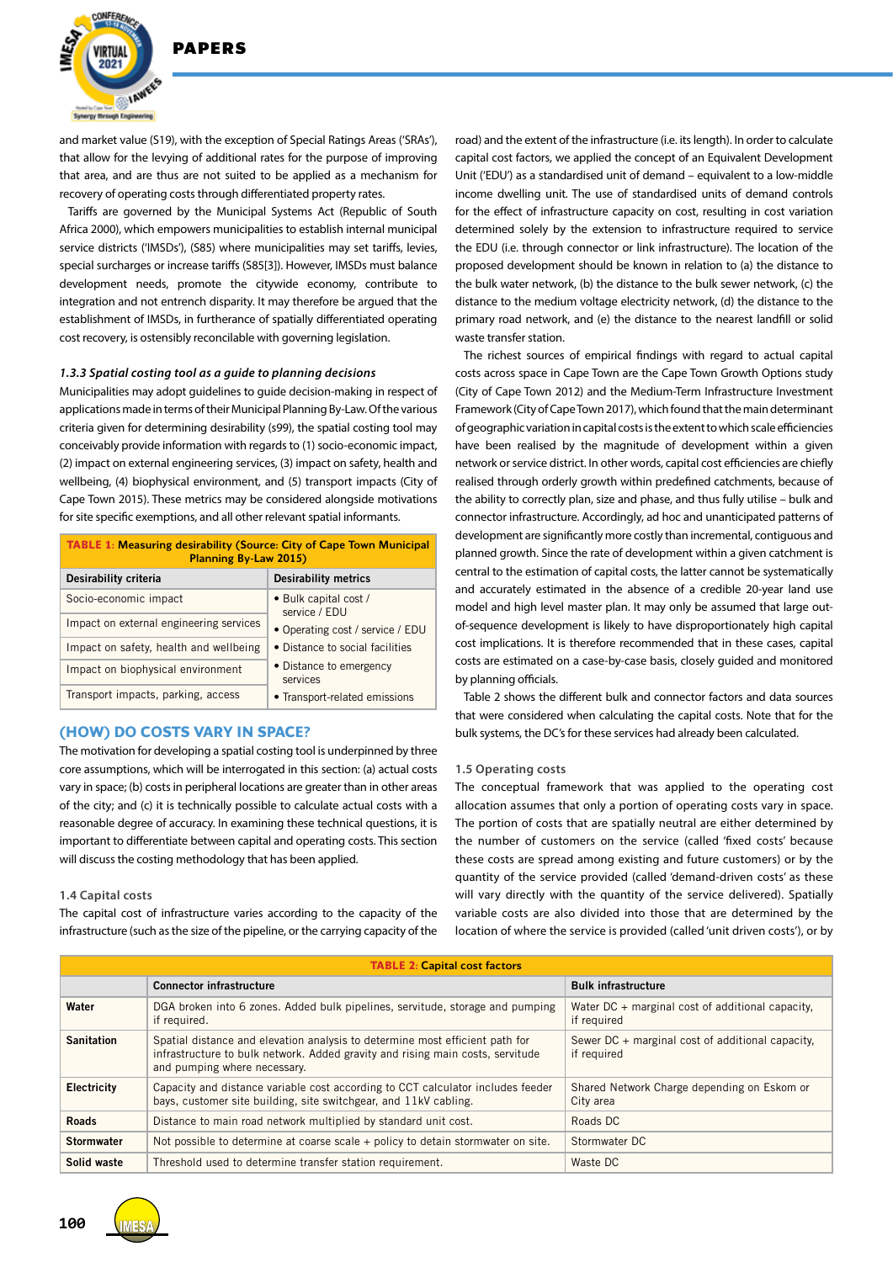

and market value (S19), with the exception of Special Ratings Areas ('SRAs'), that allow for the levying of additional rates for the purpose of improving that area, and are thus are not suited to be applied as a mechanism for recovery of operating costs through differentiated property rates.

Tariffs are governed by the Municipal Systems Act (Republic of South Africa 2000), which empowers municipalities to establish internal municipal service districts ('IMSDs'), (S85) where municipalities may set tariffs, levies, special surcharges or increase tariffs (S85[3]). However, IMSDs must balance development needs, promote the citywide economy, contribute to integration and not entrench disparity. It may therefore be argued that the establishment of IMSDs, in furtherance of spatially differentiated operating cost recovery, is ostensibly reconcilable with governing legislation.

#### *1.3.3 Spatial costing tool as a guide to planning decisions*

Municipalities may adopt guidelines to guide decision-making in respect of applications made in terms of their Municipal Planning By-Law. Of the various criteria given for determining desirability (s99), the spatial costing tool may conceivably provide information with regards to (1) socio-economic impact, (2) impact on external engineering services, (3) impact on safety, health and wellbeing, (4) biophysical environment, and (5) transport impacts (City of Cape Town 2015). These metrics may be considered alongside motivations for site specific exemptions, and all other relevant spatial informants.

| <b>TABLE 1: Measuring desirability (Source: City of Cape Town Municipal</b><br>Planning By-Law 2015) |                                        |  |  |  |
|------------------------------------------------------------------------------------------------------|----------------------------------------|--|--|--|
| Desirability criteria                                                                                | <b>Desirability metrics</b>            |  |  |  |
| Socio-economic impact                                                                                | • Bulk capital cost /<br>service / EDU |  |  |  |
| Impact on external engineering services                                                              | • Operating cost / service / EDU       |  |  |  |
| Impact on safety, health and wellbeing                                                               | • Distance to social facilities        |  |  |  |
| Impact on biophysical environment                                                                    | • Distance to emergency<br>services    |  |  |  |
| Transport impacts, parking, access                                                                   | • Transport-related emissions          |  |  |  |

## **(HOW) DO COSTS VARY IN SPACE?**

The motivation for developing a spatial costing tool is underpinned by three core assumptions, which will be interrogated in this section: (a) actual costs vary in space; (b) costs in peripheral locations are greater than in other areas of the city; and (c) it is technically possible to calculate actual costs with a reasonable degree of accuracy. In examining these technical questions, it is important to differentiate between capital and operating costs. This section will discuss the costing methodology that has been applied.

#### **1.4 Capital costs**

The capital cost of infrastructure varies according to the capacity of the infrastructure (such as the size of the pipeline, or the carrying capacity of the

road) and the extent of the infrastructure (i.e. its length). In order to calculate capital cost factors, we applied the concept of an Equivalent Development Unit ('EDU') as a standardised unit of demand – equivalent to a low-middle income dwelling unit. The use of standardised units of demand controls for the effect of infrastructure capacity on cost, resulting in cost variation determined solely by the extension to infrastructure required to service the EDU (i.e. through connector or link infrastructure). The location of the proposed development should be known in relation to (a) the distance to the bulk water network, (b) the distance to the bulk sewer network, (c) the distance to the medium voltage electricity network, (d) the distance to the primary road network, and (e) the distance to the nearest landfill or solid waste transfer station.

The richest sources of empirical findings with regard to actual capital costs across space in Cape Town are the Cape Town Growth Options study (City of Cape Town 2012) and the Medium-Term Infrastructure Investment Framework (City of Cape Town 2017), which found that the main determinant of geographic variation in capital costs is the extent to which scale efficiencies have been realised by the magnitude of development within a given network or service district. In other words, capital cost efficiencies are chiefly realised through orderly growth within predefined catchments, because of the ability to correctly plan, size and phase, and thus fully utilise – bulk and connector infrastructure. Accordingly, ad hoc and unanticipated patterns of development are significantly more costly than incremental, contiguous and planned growth. Since the rate of development within a given catchment is central to the estimation of capital costs, the latter cannot be systematically and accurately estimated in the absence of a credible 20-year land use model and high level master plan. It may only be assumed that large outof-sequence development is likely to have disproportionately high capital cost implications. It is therefore recommended that in these cases, capital costs are estimated on a case-by-case basis, closely guided and monitored by planning officials.

Table 2 shows the different bulk and connector factors and data sources that were considered when calculating the capital costs. Note that for the bulk systems, the DC's for these services had already been calculated.

#### **1.5 Operating costs**

The conceptual framework that was applied to the operating cost allocation assumes that only a portion of operating costs vary in space. The portion of costs that are spatially neutral are either determined by the number of customers on the service (called 'fixed costs' because these costs are spread among existing and future customers) or by the quantity of the service provided (called 'demand-driven costs' as these will vary directly with the quantity of the service delivered). Spatially variable costs are also divided into those that are determined by the location of where the service is provided (called 'unit driven costs'), or by

| <b>TABLE 2: Capital cost factors</b> |                                                                                                                                                                                                |                                                                   |  |  |  |
|--------------------------------------|------------------------------------------------------------------------------------------------------------------------------------------------------------------------------------------------|-------------------------------------------------------------------|--|--|--|
|                                      | <b>Connector infrastructure</b>                                                                                                                                                                | <b>Bulk infrastructure</b>                                        |  |  |  |
| Water                                | DGA broken into 6 zones. Added bulk pipelines, servitude, storage and pumping<br>if required.                                                                                                  | Water $DC + marginal cost of additional capacity.$<br>if required |  |  |  |
| <b>Sanitation</b>                    | Spatial distance and elevation analysis to determine most efficient path for<br>infrastructure to bulk network. Added gravity and rising main costs, servitude<br>and pumping where necessary. | Sewer DC + marginal cost of additional capacity,<br>if required   |  |  |  |
| Electricity                          | Capacity and distance variable cost according to CCT calculator includes feeder<br>bays, customer site building, site switchgear, and 11kV cabling.                                            | Shared Network Charge depending on Eskom or<br>City area          |  |  |  |
| <b>Roads</b>                         | Distance to main road network multiplied by standard unit cost.                                                                                                                                | Roads DC                                                          |  |  |  |
| <b>Stormwater</b>                    | Not possible to determine at coarse scale + policy to detain stormwater on site.                                                                                                               | Stormwater DC                                                     |  |  |  |
| Solid waste                          | Threshold used to determine transfer station requirement.                                                                                                                                      | Waste DC                                                          |  |  |  |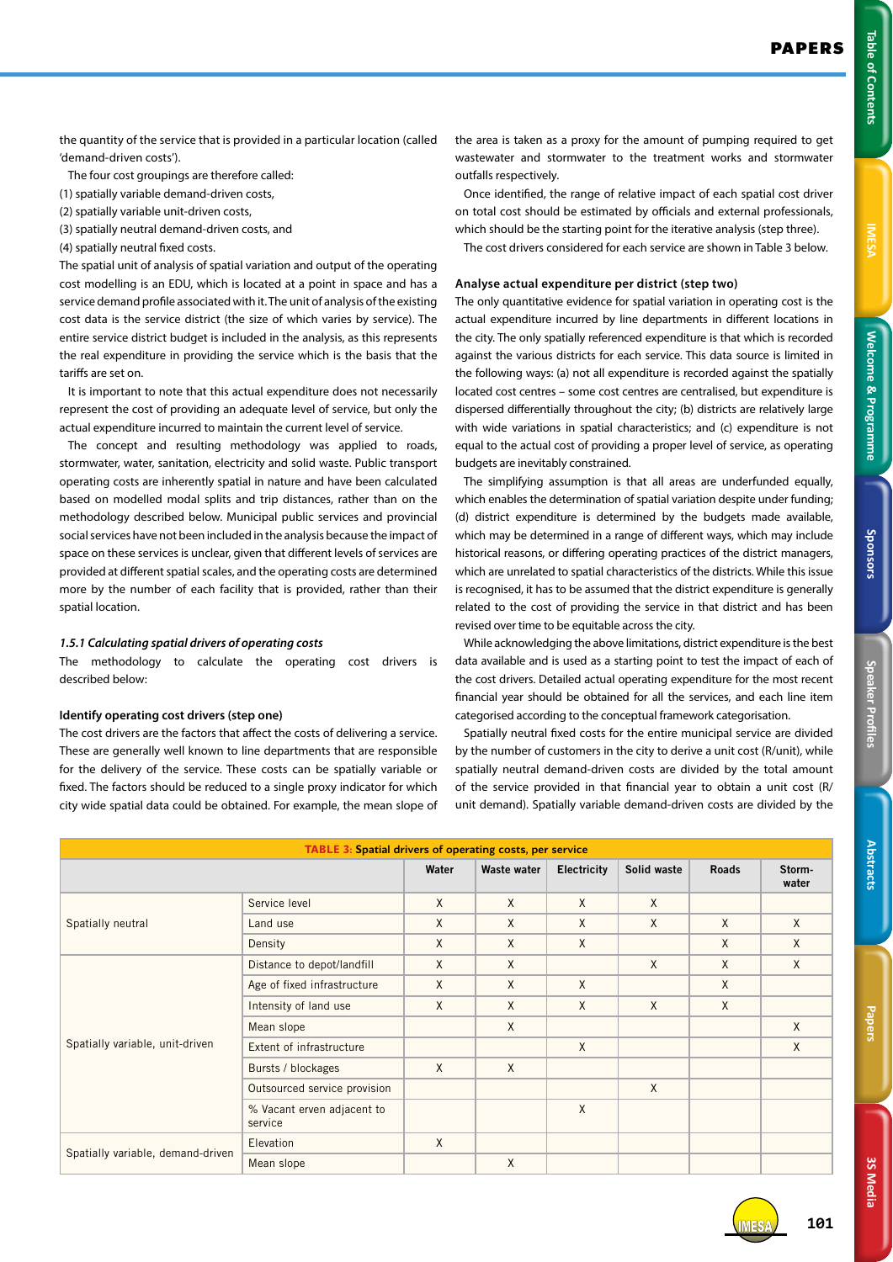**3S Media 3S Media**

the quantity of the service that is provided in a particular location (called 'demand-driven costs').

The four cost groupings are therefore called:

- (1) spatially variable demand-driven costs,
- (2) spatially variable unit-driven costs,
- (3) spatially neutral demand-driven costs, and
- (4) spatially neutral fixed costs.

The spatial unit of analysis of spatial variation and output of the operating cost modelling is an EDU, which is located at a point in space and has a service demand profile associated with it. The unit of analysis of the existing cost data is the service district (the size of which varies by service). The entire service district budget is included in the analysis, as this represents the real expenditure in providing the service which is the basis that the tariffs are set on.

It is important to note that this actual expenditure does not necessarily represent the cost of providing an adequate level of service, but only the actual expenditure incurred to maintain the current level of service.

The concept and resulting methodology was applied to roads, stormwater, water, sanitation, electricity and solid waste. Public transport operating costs are inherently spatial in nature and have been calculated based on modelled modal splits and trip distances, rather than on the methodology described below. Municipal public services and provincial social services have not been included in the analysis because the impact of space on these services is unclear, given that different levels of services are provided at different spatial scales, and the operating costs are determined more by the number of each facility that is provided, rather than their spatial location.

#### *1.5.1 Calculating spatial drivers of operating costs*

The methodology to calculate the operating cost drivers is described below:

## **Identify operating cost drivers (step one)**

The cost drivers are the factors that affect the costs of delivering a service. These are generally well known to line departments that are responsible for the delivery of the service. These costs can be spatially variable or fixed. The factors should be reduced to a single proxy indicator for which city wide spatial data could be obtained. For example, the mean slope of the area is taken as a proxy for the amount of pumping required to get wastewater and stormwater to the treatment works and stormwater outfalls respectively.

Once identified, the range of relative impact of each spatial cost driver on total cost should be estimated by officials and external professionals, which should be the starting point for the iterative analysis (step three).

The cost drivers considered for each service are shown in Table 3 below.

## **Analyse actual expenditure per district (step two)**

The only quantitative evidence for spatial variation in operating cost is the actual expenditure incurred by line departments in different locations in the city. The only spatially referenced expenditure is that which is recorded against the various districts for each service. This data source is limited in the following ways: (a) not all expenditure is recorded against the spatially located cost centres – some cost centres are centralised, but expenditure is dispersed differentially throughout the city; (b) districts are relatively large with wide variations in spatial characteristics; and (c) expenditure is not equal to the actual cost of providing a proper level of service, as operating budgets are inevitably constrained.

The simplifying assumption is that all areas are underfunded equally, which enables the determination of spatial variation despite under funding; (d) district expenditure is determined by the budgets made available, which may be determined in a range of different ways, which may include historical reasons, or differing operating practices of the district managers, which are unrelated to spatial characteristics of the districts. While this issue is recognised, it has to be assumed that the district expenditure is generally related to the cost of providing the service in that district and has been revised over time to be equitable across the city.

While acknowledging the above limitations, district expenditure is the best data available and is used as a starting point to test the impact of each of the cost drivers. Detailed actual operating expenditure for the most recent financial year should be obtained for all the services, and each line item categorised according to the conceptual framework categorisation.

Spatially neutral fixed costs for the entire municipal service are divided by the number of customers in the city to derive a unit cost (R/unit), while spatially neutral demand-driven costs are divided by the total amount of the service provided in that financial year to obtain a unit cost (R/ unit demand). Spatially variable demand-driven costs are divided by the

| <b>TABLE 3: Spatial drivers of operating costs, per service</b> |                                       |          |              |             |              |              |                 |
|-----------------------------------------------------------------|---------------------------------------|----------|--------------|-------------|--------------|--------------|-----------------|
|                                                                 |                                       | Water    | Waste water  | Electricity | Solid waste  | <b>Roads</b> | Storm-<br>water |
| Spatially neutral                                               | Service level                         | $\times$ | $\mathsf{X}$ | X           | $\mathsf{X}$ |              |                 |
|                                                                 | Land use                              | X        | X            | X           | X            | X            | $\mathsf{X}$    |
|                                                                 | Density                               | X        | X            | X           |              | X            | X               |
| Spatially variable, unit-driven                                 | Distance to depot/landfill            | $\sf X$  | $\mathsf{X}$ |             | X            | X            | X               |
|                                                                 | Age of fixed infrastructure           | $\sf X$  | X            | X           |              | X            |                 |
|                                                                 | Intensity of land use                 | X        | X            | X           | X            | X            |                 |
|                                                                 | Mean slope                            |          | X            |             |              |              | X               |
|                                                                 | Extent of infrastructure              |          |              | X           |              |              | X               |
|                                                                 | Bursts / blockages                    | $\sf X$  | X            |             |              |              |                 |
|                                                                 | Outsourced service provision          |          |              |             | X            |              |                 |
|                                                                 | % Vacant erven adjacent to<br>service |          |              | X           |              |              |                 |
| Spatially variable, demand-driven                               | Elevation                             | X        |              |             |              |              |                 |
|                                                                 | Mean slope                            |          | X            |             |              |              |                 |

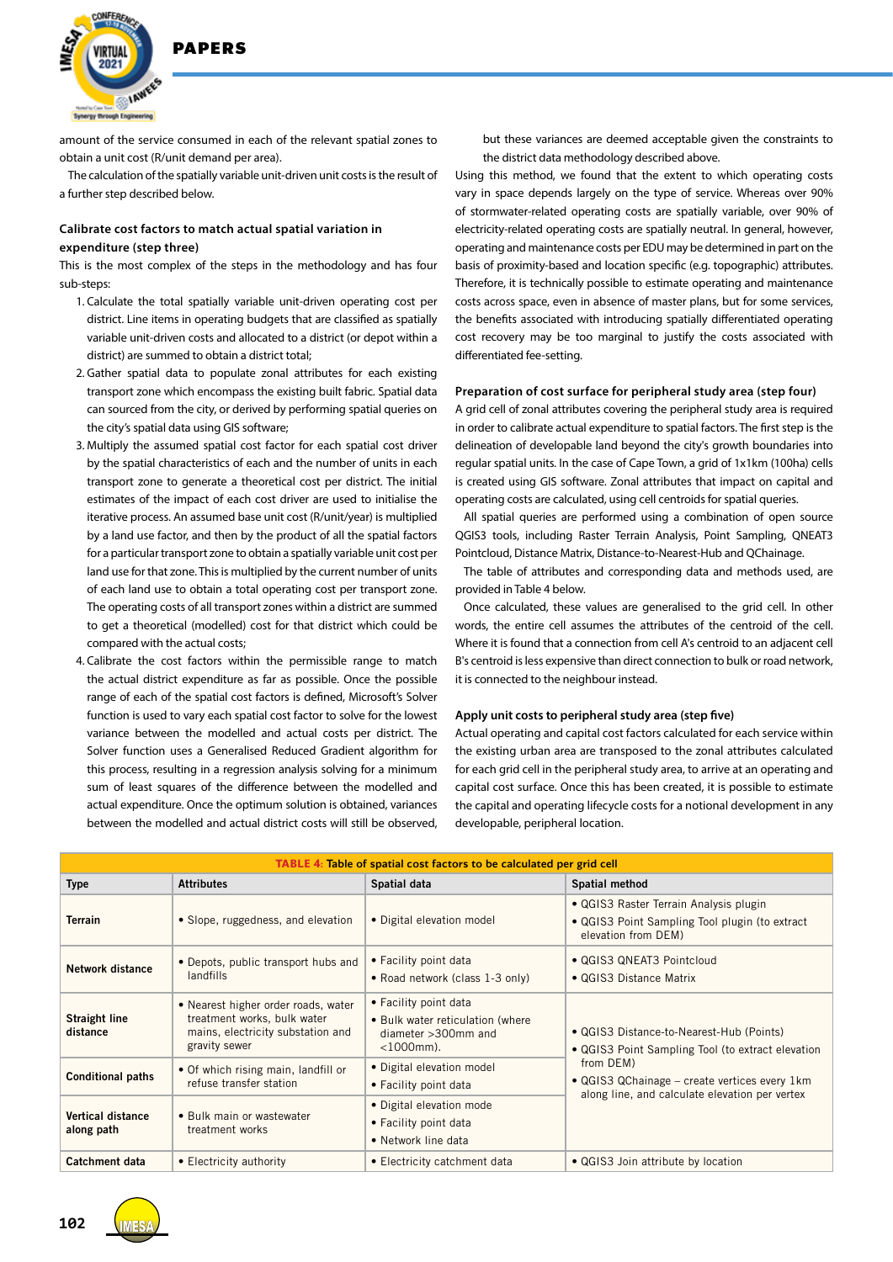

amount of the service consumed in each of the relevant spatial zones to obtain a unit cost (R/unit demand per area).

The calculation of the spatially variable unit-driven unit costs is the result of a further step described below.

## **Calibrate cost factors to match actual spatial variation in expenditure (step three)**

This is the most complex of the steps in the methodology and has four sub-steps:

- 1. Calculate the total spatially variable unit-driven operating cost per district. Line items in operating budgets that are classified as spatially variable unit-driven costs and allocated to a district (or depot within a district) are summed to obtain a district total;
- 2. Gather spatial data to populate zonal attributes for each existing transport zone which encompass the existing built fabric. Spatial data can sourced from the city, or derived by performing spatial queries on the city's spatial data using GIS software;
- 3. Multiply the assumed spatial cost factor for each spatial cost driver by the spatial characteristics of each and the number of units in each transport zone to generate a theoretical cost per district. The initial estimates of the impact of each cost driver are used to initialise the iterative process. An assumed base unit cost (R/unit/year) is multiplied by a land use factor, and then by the product of all the spatial factors for a particular transport zone to obtain a spatially variable unit cost per land use for that zone. This is multiplied by the current number of units of each land use to obtain a total operating cost per transport zone. The operating costs of all transport zones within a district are summed to get a theoretical (modelled) cost for that district which could be compared with the actual costs;
- 4. Calibrate the cost factors within the permissible range to match the actual district expenditure as far as possible. Once the possible range of each of the spatial cost factors is defined, Microsoft's Solver function is used to vary each spatial cost factor to solve for the lowest variance between the modelled and actual costs per district. The Solver function uses a Generalised Reduced Gradient algorithm for this process, resulting in a regression analysis solving for a minimum sum of least squares of the difference between the modelled and actual expenditure. Once the optimum solution is obtained, variances between the modelled and actual district costs will still be observed,

but these variances are deemed acceptable given the constraints to the district data methodology described above.

Using this method, we found that the extent to which operating costs vary in space depends largely on the type of service. Whereas over 90% of stormwater-related operating costs are spatially variable, over 90% of electricity-related operating costs are spatially neutral. In general, however, operating and maintenance costs per EDU may be determined in part on the basis of proximity-based and location specific (e.g. topographic) attributes. Therefore, it is technically possible to estimate operating and maintenance costs across space, even in absence of master plans, but for some services, the benefits associated with introducing spatially differentiated operating cost recovery may be too marginal to justify the costs associated with differentiated fee-setting.

#### **Preparation of cost surface for peripheral study area (step four)**

A grid cell of zonal attributes covering the peripheral study area is required in order to calibrate actual expenditure to spatial factors. The first step is the delineation of developable land beyond the city's growth boundaries into regular spatial units. In the case of Cape Town, a grid of 1x1km (100ha) cells is created using GIS software. Zonal attributes that impact on capital and operating costs are calculated, using cell centroids for spatial queries.

All spatial queries are performed using a combination of open source QGIS3 tools, including Raster Terrain Analysis, Point Sampling, QNEAT3 Pointcloud, Distance Matrix, Distance-to-Nearest-Hub and QChainage.

The table of attributes and corresponding data and methods used, are provided in Table 4 below.

Once calculated, these values are generalised to the grid cell. In other words, the entire cell assumes the attributes of the centroid of the cell. Where it is found that a connection from cell A's centroid to an adjacent cell B's centroid is less expensive than direct connection to bulk or road network, it is connected to the neighbour instead.

#### **Apply unit costs to peripheral study area (step five)**

Actual operating and capital cost factors calculated for each service within the existing urban area are transposed to the zonal attributes calculated for each grid cell in the peripheral study area, to arrive at an operating and capital cost surface. Once this has been created, it is possible to estimate the capital and operating lifecycle costs for a notional development in any developable, peripheral location.

| TABLE 4: Table of spatial cost factors to be calculated per grid cell |                                                                                                                          |                                                                                                         |                                                                                                                 |  |  |
|-----------------------------------------------------------------------|--------------------------------------------------------------------------------------------------------------------------|---------------------------------------------------------------------------------------------------------|-----------------------------------------------------------------------------------------------------------------|--|--|
| <b>Type</b>                                                           | <b>Attributes</b>                                                                                                        | Spatial data                                                                                            | Spatial method                                                                                                  |  |  |
| <b>Terrain</b>                                                        | • Slope, ruggedness, and elevation                                                                                       | · Digital elevation model                                                                               | • QGIS3 Raster Terrain Analysis plugin<br>• QGIS3 Point Sampling Tool plugin (to extract<br>elevation from DEM) |  |  |
| Network distance                                                      | • Depots, public transport hubs and<br>landfills                                                                         | • Facility point data<br>• Road network (class 1-3 only)                                                | • QGIS3 QNEAT3 Pointcloud<br>• QGIS3 Distance Matrix                                                            |  |  |
| <b>Straight line</b><br>distance                                      | • Nearest higher order roads, water<br>treatment works, bulk water<br>mains, electricity substation and<br>gravity sewer | • Facility point data<br>• Bulk water reticulation (where<br>diameter $>300$ mm and<br>$<$ 1000 $mm$ ). | • QGIS3 Distance-to-Nearest-Hub (Points)<br>• QGIS3 Point Sampling Tool (to extract elevation                   |  |  |
| <b>Conditional paths</b>                                              | • Of which rising main, landfill or<br>refuse transfer station                                                           | • Digital elevation model<br>• Facility point data                                                      | from DEM)<br>• QGIS3 QChainage – create vertices every 1km<br>along line, and calculate elevation per vertex    |  |  |
| <b>Vertical distance</b><br>along path                                | • Bulk main or wastewater<br>treatment works                                                                             | · Digital elevation mode<br>• Facility point data<br>• Network line data                                |                                                                                                                 |  |  |
| Catchment data                                                        | • Electricity authority                                                                                                  | • Electricity catchment data                                                                            | • QGIS3 Join attribute by location                                                                              |  |  |